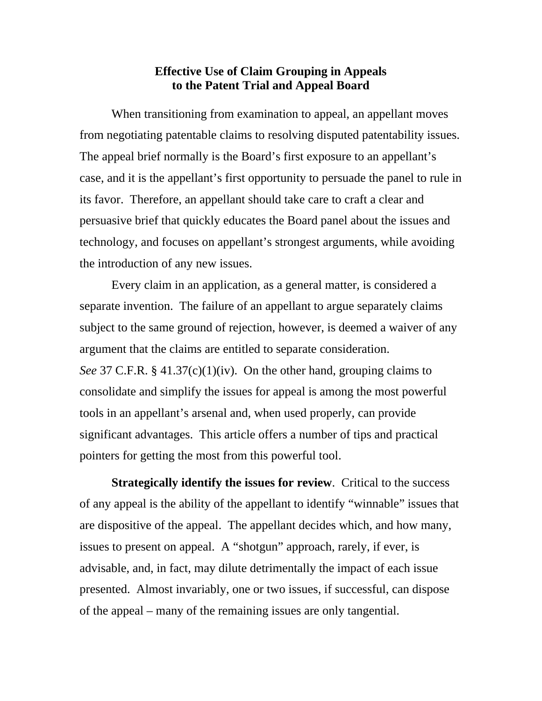## **Effective Use of Claim Grouping in Appeals to the Patent Trial and Appeal Board**

When transitioning from examination to appeal, an appellant moves from negotiating patentable claims to resolving disputed patentability issues. The appeal brief normally is the Board's first exposure to an appellant's case, and it is the appellant's first opportunity to persuade the panel to rule in its favor. Therefore, an appellant should take care to craft a clear and persuasive brief that quickly educates the Board panel about the issues and technology, and focuses on appellant's strongest arguments, while avoiding the introduction of any new issues.

Every claim in an application, as a general matter, is considered a separate invention. The failure of an appellant to argue separately claims subject to the same ground of rejection, however, is deemed a waiver of any argument that the claims are entitled to separate consideration. *See* 37 C.F.R. § 41.37(c)(1)(iv). On the other hand, grouping claims to consolidate and simplify the issues for appeal is among the most powerful tools in an appellant's arsenal and, when used properly, can provide significant advantages. This article offers a number of tips and practical pointers for getting the most from this powerful tool.

**Strategically identify the issues for review**. Critical to the success of any appeal is the ability of the appellant to identify "winnable" issues that are dispositive of the appeal. The appellant decides which, and how many, issues to present on appeal. A "shotgun" approach, rarely, if ever, is advisable, and, in fact, may dilute detrimentally the impact of each issue presented. Almost invariably, one or two issues, if successful, can dispose of the appeal – many of the remaining issues are only tangential.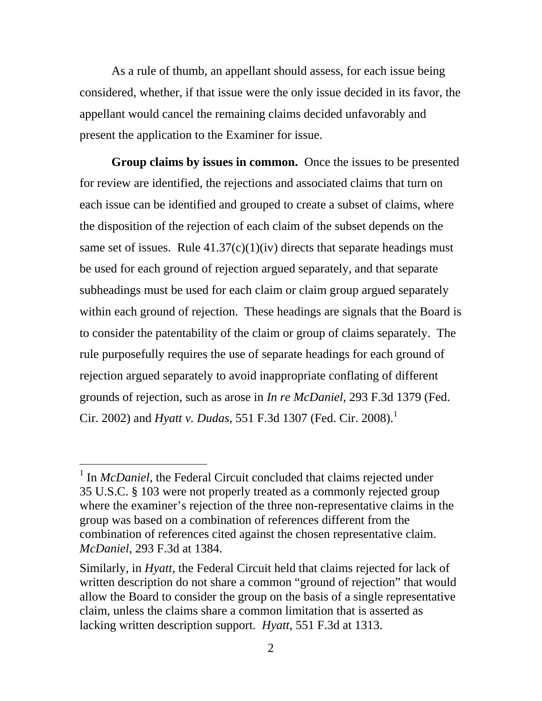As a rule of thumb, an appellant should assess, for each issue being considered, whether, if that issue were the only issue decided in its favor, the appellant would cancel the remaining claims decided unfavorably and present the application to the Examiner for issue.

**Group claims by issues in common.** Once the issues to be presented for review are identified, the rejections and associated claims that turn on each issue can be identified and grouped to create a subset of claims, where the disposition of the rejection of each claim of the subset depends on the same set of issues. Rule  $41.37(c)(1)(iv)$  directs that separate headings must be used for each ground of rejection argued separately, and that separate subheadings must be used for each claim or claim group argued separately within each ground of rejection. These headings are signals that the Board is to consider the patentability of the claim or group of claims separately. The rule purposefully requires the use of separate headings for each ground of rejection argued separately to avoid inappropriate conflating of different grounds of rejection, such as arose in *In re McDaniel*, 293 F.3d 1379 (Fed. Cir. 2002) and *Hyatt v. Dudas*, 551 F.3d 1307 (Fed. Cir. 2008).<sup>1</sup>

-

<sup>&</sup>lt;sup>1</sup> In *McDaniel*, the Federal Circuit concluded that claims rejected under 35 U.S.C. § 103 were not properly treated as a commonly rejected group where the examiner's rejection of the three non-representative claims in the group was based on a combination of references different from the combination of references cited against the chosen representative claim. *McDaniel*, 293 F.3d at 1384.

Similarly, in *Hyatt*, the Federal Circuit held that claims rejected for lack of written description do not share a common "ground of rejection" that would allow the Board to consider the group on the basis of a single representative claim, unless the claims share a common limitation that is asserted as lacking written description support. *Hyatt*, 551 F.3d at 1313.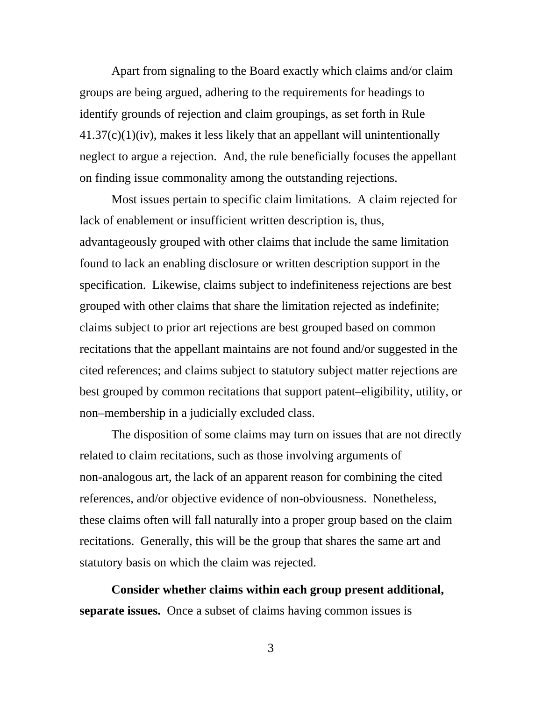Apart from signaling to the Board exactly which claims and/or claim groups are being argued, adhering to the requirements for headings to identify grounds of rejection and claim groupings, as set forth in Rule 41.37(c)(1)(iv), makes it less likely that an appellant will unintentionally neglect to argue a rejection. And, the rule beneficially focuses the appellant on finding issue commonality among the outstanding rejections.

Most issues pertain to specific claim limitations. A claim rejected for lack of enablement or insufficient written description is, thus, advantageously grouped with other claims that include the same limitation found to lack an enabling disclosure or written description support in the specification. Likewise, claims subject to indefiniteness rejections are best grouped with other claims that share the limitation rejected as indefinite; claims subject to prior art rejections are best grouped based on common recitations that the appellant maintains are not found and/or suggested in the cited references; and claims subject to statutory subject matter rejections are best grouped by common recitations that support patent–eligibility, utility, or non–membership in a judicially excluded class.

The disposition of some claims may turn on issues that are not directly related to claim recitations, such as those involving arguments of non-analogous art, the lack of an apparent reason for combining the cited references, and/or objective evidence of non-obviousness. Nonetheless, these claims often will fall naturally into a proper group based on the claim recitations. Generally, this will be the group that shares the same art and statutory basis on which the claim was rejected.

**Consider whether claims within each group present additional, separate issues.** Once a subset of claims having common issues is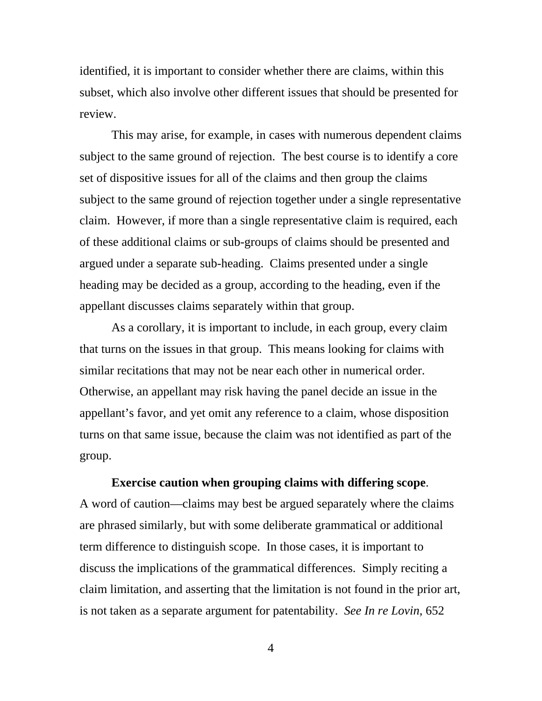identified, it is important to consider whether there are claims, within this subset, which also involve other different issues that should be presented for review.

This may arise, for example, in cases with numerous dependent claims subject to the same ground of rejection. The best course is to identify a core set of dispositive issues for all of the claims and then group the claims subject to the same ground of rejection together under a single representative claim. However, if more than a single representative claim is required, each of these additional claims or sub-groups of claims should be presented and argued under a separate sub-heading. Claims presented under a single heading may be decided as a group, according to the heading, even if the appellant discusses claims separately within that group.

As a corollary, it is important to include, in each group, every claim that turns on the issues in that group. This means looking for claims with similar recitations that may not be near each other in numerical order. Otherwise, an appellant may risk having the panel decide an issue in the appellant's favor, and yet omit any reference to a claim, whose disposition turns on that same issue, because the claim was not identified as part of the group.

## **Exercise caution when grouping claims with differing scope**.

A word of caution—claims may best be argued separately where the claims are phrased similarly, but with some deliberate grammatical or additional term difference to distinguish scope. In those cases, it is important to discuss the implications of the grammatical differences. Simply reciting a claim limitation, and asserting that the limitation is not found in the prior art, is not taken as a separate argument for patentability. *See In re Lovin*, 652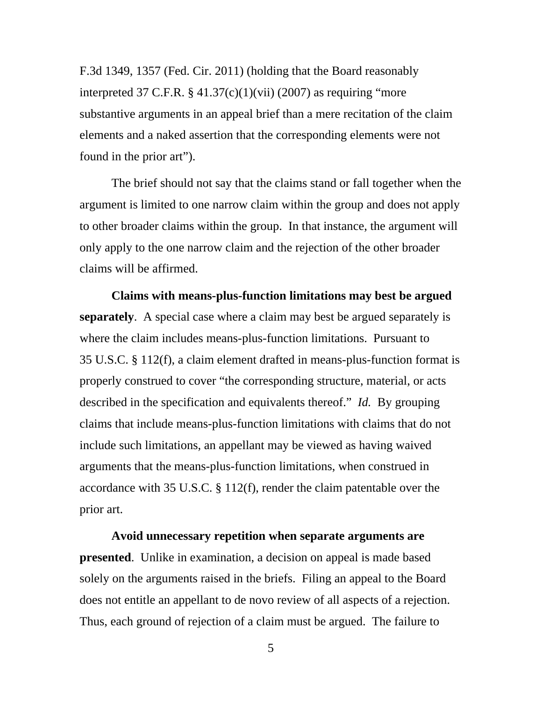F.3d 1349, 1357 (Fed. Cir. 2011) (holding that the Board reasonably interpreted 37 C.F.R.  $\S$  41.37(c)(1)(vii) (2007) as requiring "more substantive arguments in an appeal brief than a mere recitation of the claim elements and a naked assertion that the corresponding elements were not found in the prior art").

The brief should not say that the claims stand or fall together when the argument is limited to one narrow claim within the group and does not apply to other broader claims within the group. In that instance, the argument will only apply to the one narrow claim and the rejection of the other broader claims will be affirmed.

**Claims with means-plus-function limitations may best be argued separately**. A special case where a claim may best be argued separately is where the claim includes means-plus-function limitations. Pursuant to 35 U.S.C. § 112(f), a claim element drafted in means-plus-function format is properly construed to cover "the corresponding structure, material, or acts described in the specification and equivalents thereof." *Id.* By grouping claims that include means-plus-function limitations with claims that do not include such limitations, an appellant may be viewed as having waived arguments that the means-plus-function limitations, when construed in accordance with 35 U.S.C. § 112(f), render the claim patentable over the prior art.

**Avoid unnecessary repetition when separate arguments are presented**. Unlike in examination, a decision on appeal is made based solely on the arguments raised in the briefs. Filing an appeal to the Board does not entitle an appellant to de novo review of all aspects of a rejection. Thus, each ground of rejection of a claim must be argued. The failure to